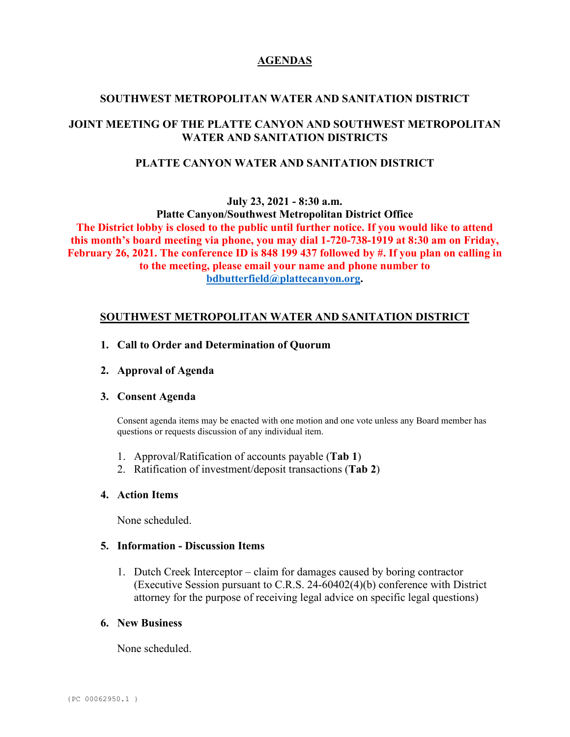# **AGENDAS**

## **SOUTHWEST METROPOLITAN WATER AND SANITATION DISTRICT**

# **JOINT MEETING OF THE PLATTE CANYON AND SOUTHWEST METROPOLITAN WATER AND SANITATION DISTRICTS**

### **PLATTE CANYON WATER AND SANITATION DISTRICT**

**July 23, 2021 - 8:30 a.m.**

**Platte Canyon/Southwest Metropolitan District Office The District lobby is closed to the public until further notice. If you would like to attend this month's board meeting via phone, you may dial 1-720-738-1919 at 8:30 am on Friday, February 26, 2021. The conference ID is 848 199 437 followed by #. If you plan on calling in to the meeting, please email your name and phone number to [bdbutterfield@plattecanyon.org.](mailto:bdbutterfield@plattecanyon.org)**

### **SOUTHWEST METROPOLITAN WATER AND SANITATION DISTRICT**

- **1. Call to Order and Determination of Quorum**
- **2. Approval of Agenda**

#### **3. Consent Agenda**

Consent agenda items may be enacted with one motion and one vote unless any Board member has questions or requests discussion of any individual item.

- 1. Approval/Ratification of accounts payable (**Tab 1**)
- 2. Ratification of investment/deposit transactions (**Tab 2**)

#### **4. Action Items**

None scheduled.

#### **5. Information - Discussion Items**

1. Dutch Creek Interceptor – claim for damages caused by boring contractor (Executive Session pursuant to C.R.S. 24-60402(4)(b) conference with District attorney for the purpose of receiving legal advice on specific legal questions)

#### **6. New Business**

None scheduled.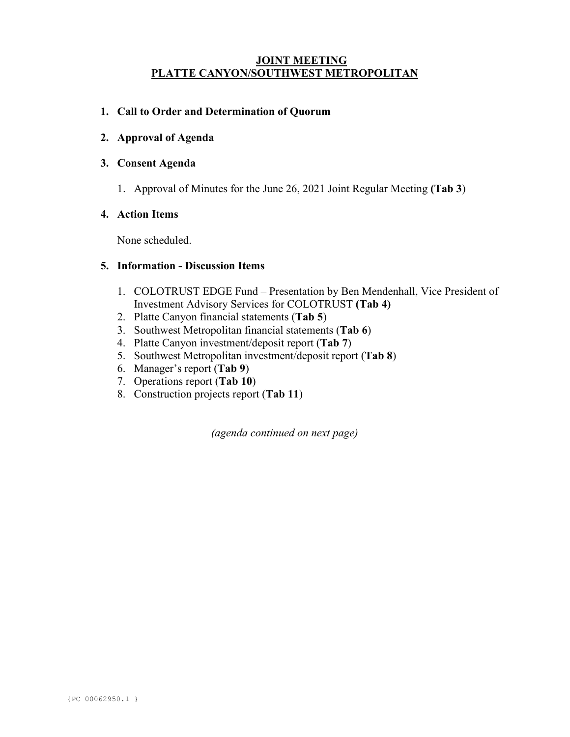### **JOINT MEETING PLATTE CANYON/SOUTHWEST METROPOLITAN**

### **1. Call to Order and Determination of Quorum**

**2. Approval of Agenda**

#### **3. Consent Agenda**

1. Approval of Minutes for the June 26, 2021 Joint Regular Meeting **(Tab 3**)

### **4. Action Items**

None scheduled.

## **5. Information - Discussion Items**

- 1. COLOTRUST EDGE Fund Presentation by Ben Mendenhall, Vice President of Investment Advisory Services for COLOTRUST **(Tab 4)**
- 2. Platte Canyon financial statements (**Tab 5**)
- 3. Southwest Metropolitan financial statements (**Tab 6**)
- 4. Platte Canyon investment/deposit report (**Tab 7**)
- 5. Southwest Metropolitan investment/deposit report (**Tab 8**)
- 6. Manager's report (**Tab 9**)
- 7. Operations report (**Tab 10**)
- 8. Construction projects report (**Tab 11**)

*(agenda continued on next page)*